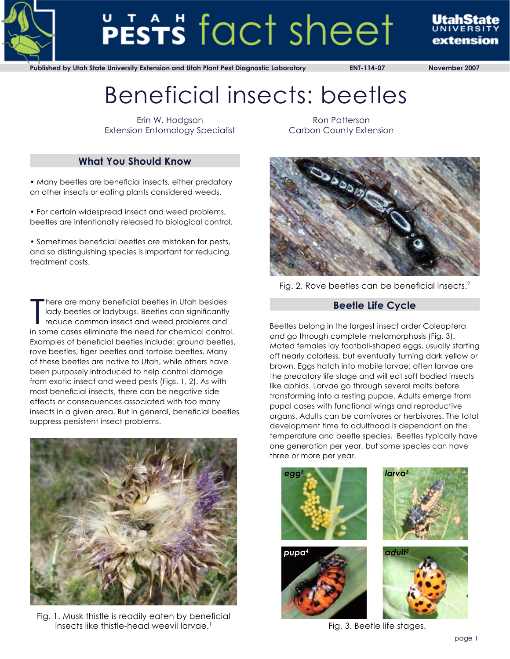

# PESTS fact sheet

extension

**Published by Utah State University Extension and Utah Plant Pest Diagnostic Laboratory ENT-114-07 November 2007**

# Beneficial insects: beetles

Erin W. Hodgson Extension Entomology Specialist

## **What You Should Know**

• Many beetles are beneficial insects, either predatory on other insects or eating plants considered weeds.

• For certain widespread insect and weed problems, beetles are intentionally released to biological control.

• Sometimes beneficial beetles are mistaken for pests, and so distinguishing species is important for reducing treatment costs.

There are many beneficial beetles in Utah besides<br>lady beetles or ladybugs. Beetles can significantly<br>reduce common insect and weed problems and<br>in some cases eliminate the need for chemical control. here are many beneficial beetles in Utah besides lady beetles or ladybugs. Beetles can significantly reduce common insect and weed problems and Examples of beneficial beetles include: ground beetles, rove beetles, tiger beetles and tortoise beetles. Many of these beetles are native to Utah, while others have been purposely introduced to help control damage from exotic insect and weed pests (Figs. 1, 2). As with most beneficial insects, there can be negative side effects or consequences associated with too many insects in a given area. But in general, beneficial beetles suppress persistent insect problems.



Fig. 1. Musk thistle is readily eaten by beneficial insects like thistle-head weevil larvae. $1$ 

Ron Patterson Carbon County Extension



Fig. 2. Rove beetles can be beneficial insects.<sup>2</sup>

### **Beetle Life Cycle**

Beetles belong in the largest insect order Coleoptera and go through complete metamorphosis (Fig. 3). Mated females lay football-shaped eggs, usually starting off nearly colorless, but eventually turning dark yellow or brown. Eggs hatch into mobile larvae; often larvae are the predatory life stage and will eat soft bodied insects like aphids. Larvae go through several molts before transforming into a resting pupae. Adults emerge from pupal cases with functional wings and reproductive organs. Adults can be carnivores or herbivores. The total development time to adulthood is dependant on the temperature and beetle species. Beetles typically have one generation per year, but some species can have three or more per year.



Fig. 3. Beetle life stages.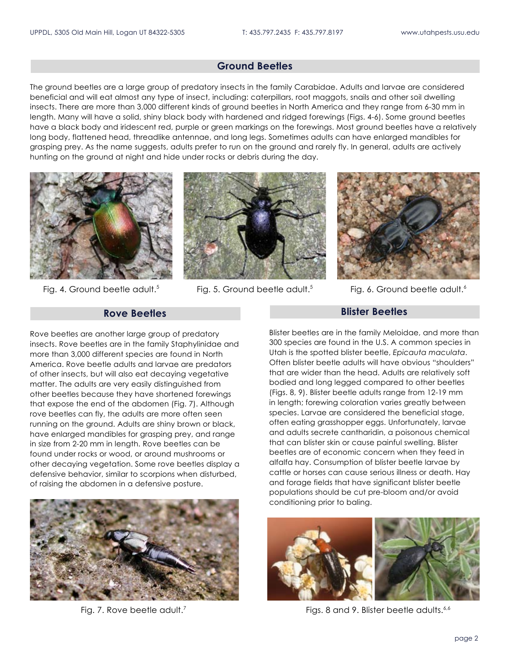#### **Ground Beetles**

The ground beetles are a large group of predatory insects in the family Carabidae. Adults and larvae are considered beneficial and will eat almost any type of insect, including: caterpillars, root maggots, snails and other soil dwelling insects. There are more than 3,000 different kinds of ground beetles in North America and they range from 6-30 mm in length. Many will have a solid, shiny black body with hardened and ridged forewings (Figs. 4-6). Some ground beetles have a black body and iridescent red, purple or green markings on the forewings. Most ground beetles have a relatively long body, flattened head, threadlike antennae, and long legs. Sometimes adults can have enlarged mandibles for grasping prey. As the name suggests, adults prefer to run on the ground and rarely fly. In general, adults are actively hunting on the ground at night and hide under rocks or debris during the day.



Fig. 4. Ground beetle adult.<sup>5</sup>



Fig. 5. Ground beetle adult.<sup>5</sup> Fig. 6. Ground beetle adult.<sup>6</sup>



#### **Rove Beetles**

Rove beetles are another large group of predatory insects. Rove beetles are in the family Staphylinidae and more than 3,000 different species are found in North America. Rove beetle adults and larvae are predators of other insects, but will also eat decaying vegetative matter. The adults are very easily distinguished from other beetles because they have shortened forewings that expose the end of the abdomen (Fig. 7). Although rove beetles can fly, the adults are more often seen running on the ground. Adults are shiny brown or black, have enlarged mandibles for grasping prey, and range in size from 2-20 mm in length. Rove beetles can be found under rocks or wood, or around mushrooms or other decaying vegetation. Some rove beetles display a defensive behavior, similar to scorpions when disturbed, of raising the abdomen in a defensive posture.



#### **Blister Beetles**

Blister beetles are in the family Meloidae, and more than 300 species are found in the U.S. A common species in Utah is the spotted blister beetle, *Epicauta maculata*. Often blister beetle adults will have obvious "shoulders" that are wider than the head. Adults are relatively soft bodied and long legged compared to other beetles (Figs. 8, 9). Blister beetle adults range from 12-19 mm in length; forewing coloration varies greatly between species. Larvae are considered the beneficial stage, often eating grasshopper eggs. Unfortunately, larvae and adults secrete cantharidin, a poisonous chemical that can blister skin or cause painful swelling. Blister beetles are of economic concern when they feed in alfalfa hay. Consumption of blister beetle larvae by cattle or horses can cause serious illness or death. Hay and forage fields that have significant blister beetle populations should be cut pre-bloom and/or avoid conditioning prior to baling.



Fig. 7. Rove beetle adult.<sup>7</sup> All and 9. Blister beetle adults.<sup>6,6</sup> Figs. 8 and 9. Blister beetle adults.<sup>6,6</sup>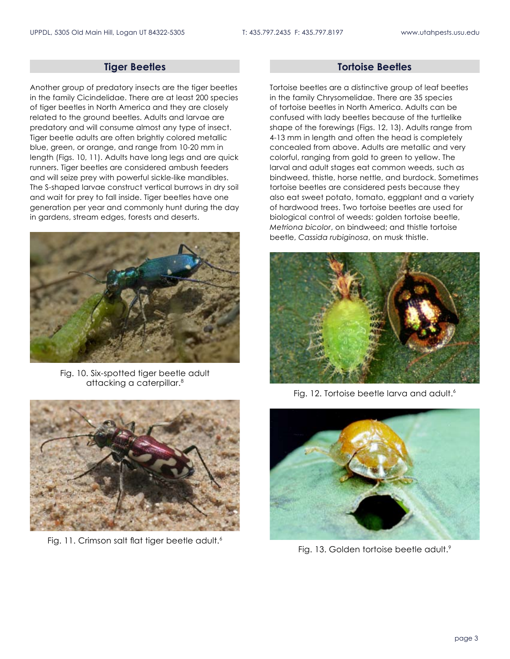#### **Tiger Beetles**

Another group of predatory insects are the tiger beetles in the family Cicindelidae. There are at least 200 species of tiger beetles in North America and they are closely related to the ground beetles. Adults and larvae are predatory and will consume almost any type of insect. Tiger beetle adults are often brightly colored metallic blue, green, or orange, and range from 10-20 mm in length (Figs. 10, 11). Adults have long legs and are quick runners. Tiger beetles are considered ambush feeders and will seize prey with powerful sickle-like mandibles. The S-shaped larvae construct vertical burrows in dry soil and wait for prey to fall inside. Tiger beetles have one generation per year and commonly hunt during the day in gardens, stream edges, forests and deserts.



Fig. 10. Six-spotted tiger beetle adult attacking a caterpillar.<sup>8</sup>



Fig. 11. Crimson salt flat tiger beetle adult.<sup>6</sup>

#### **Tortoise Beetles**

Tortoise beetles are a distinctive group of leaf beetles in the family Chrysomelidae. There are 35 species of tortoise beetles in North America. Adults can be confused with lady beetles because of the turtlelike shape of the forewings (Figs. 12, 13). Adults range from 4-13 mm in length and often the head is completely concealed from above. Adults are metallic and very colorful, ranging from gold to green to yellow. The larval and adult stages eat common weeds, such as bindweed, thistle, horse nettle, and burdock. Sometimes tortoise beetles are considered pests because they also eat sweet potato, tomato, eggplant and a variety of hardwood trees. Two tortoise beetles are used for biological control of weeds: golden tortoise beetle, *Metriona bicolor*, on bindweed; and thistle tortoise beetle, *Cassida rubiginosa*, on musk thistle.



Fig. 12. Tortoise beetle larva and adult.<sup>6</sup>



Fig. 13. Golden tortoise beetle adult.<sup>9</sup>